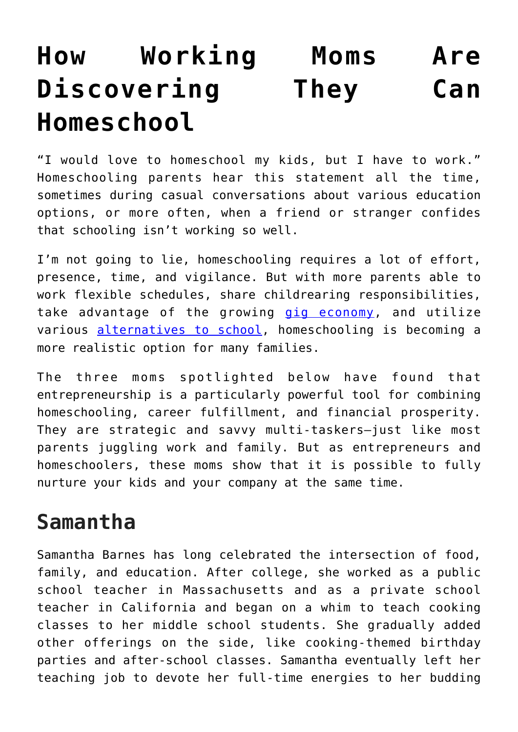## **[How Working Moms Are](https://intellectualtakeout.org/2018/12/how-working-moms-are-discovering-they-can-homeschool/) [Discovering They Can](https://intellectualtakeout.org/2018/12/how-working-moms-are-discovering-they-can-homeschool/) [Homeschool](https://intellectualtakeout.org/2018/12/how-working-moms-are-discovering-they-can-homeschool/)**

"I would love to homeschool my kids, but I have to work." Homeschooling parents hear this statement all the time, sometimes during casual conversations about various education options, or more often, when a friend or stranger confides that schooling isn't working so well.

I'm not going to lie, homeschooling requires a lot of effort, presence, time, and vigilance. But with more parents able to work flexible schedules, share childrearing responsibilities, take advantage of the growing [gig economy](https://fee.org/articles/how-the-gig-economy-empowers-unschoolers/), and utilize various [alternatives to school](https://www.self-directed.org/resources/), homeschooling is becoming a more realistic option for many families.

The three moms spotlighted below have found that entrepreneurship is a particularly powerful tool for combining homeschooling, career fulfillment, and financial prosperity. They are strategic and savvy multi-taskers—just like most parents juggling work and family. But as entrepreneurs and homeschoolers, these moms show that it is possible to fully nurture your kids and your company at the same time.

## **Samantha**

Samantha Barnes has long celebrated the intersection of food, family, and education. After college, she worked as a public school teacher in Massachusetts and as a private school teacher in California and began on a whim to teach cooking classes to her middle school students. She gradually added other offerings on the side, like cooking-themed birthday parties and after-school classes. Samantha eventually left her teaching job to devote her full-time energies to her budding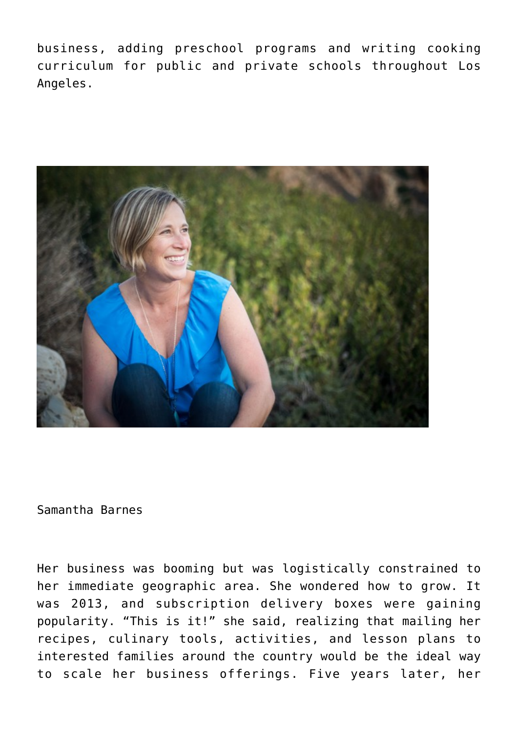business, adding preschool programs and writing cooking curriculum for public and private schools throughout Los Angeles.



Samantha Barnes

Her business was booming but was logistically constrained to her immediate geographic area. She wondered how to grow. It was 2013, and subscription delivery boxes were gaining popularity. "This is it!" she said, realizing that mailing her recipes, culinary tools, activities, and lesson plans to interested families around the country would be the ideal way to scale her business offerings. Five years later, her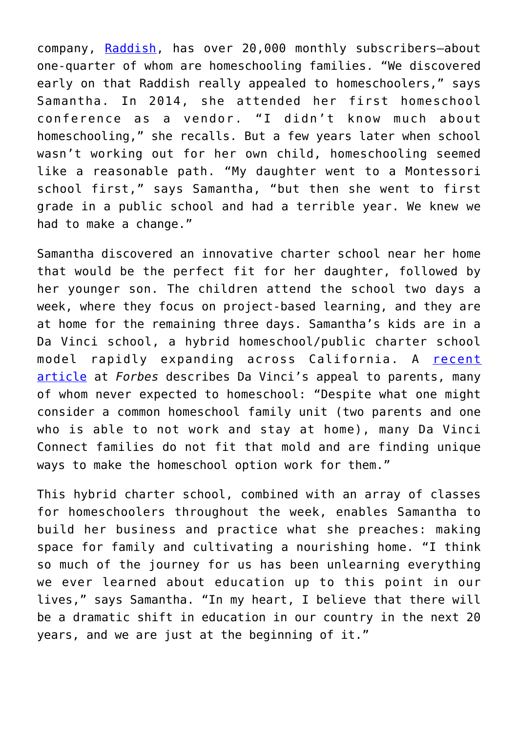company, [Raddish,](https://www.raddishkids.com/) has over 20,000 monthly subscribers—about one-quarter of whom are homeschooling families. "We discovered early on that Raddish really appealed to homeschoolers," says Samantha. In 2014, she attended her first homeschool conference as a vendor. "I didn't know much about homeschooling," she recalls. But a few years later when school wasn't working out for her own child, homeschooling seemed like a reasonable path. "My daughter went to a Montessori school first," says Samantha, "but then she went to first grade in a public school and had a terrible year. We knew we had to make a change."

Samantha discovered an innovative charter school near her home that would be the perfect fit for her daughter, followed by her younger son. The children attend the school two days a week, where they focus on project-based learning, and they are at home for the remaining three days. Samantha's kids are in a Da Vinci school, a hybrid homeschool/public charter school model rapidly expanding across California. A [recent](https://www.forbes.com/sites/tomvanderark/2018/11/02/da-vinci-schools-expand-opportunities-in-los-angeles/#519bd75b606d) [article](https://www.forbes.com/sites/tomvanderark/2018/11/02/da-vinci-schools-expand-opportunities-in-los-angeles/#519bd75b606d) at *Forbes* describes Da Vinci's appeal to parents, many of whom never expected to homeschool: "Despite what one might consider a common homeschool family unit (two parents and one who is able to not work and stay at home), many Da Vinci Connect families do not fit that mold and are finding unique ways to make the homeschool option work for them."

This hybrid charter school, combined with an array of classes for homeschoolers throughout the week, enables Samantha to build her business and practice what she preaches: making space for family and cultivating a nourishing home. "I think so much of the journey for us has been unlearning everything we ever learned about education up to this point in our lives," says Samantha. "In my heart, I believe that there will be a dramatic shift in education in our country in the next 20 years, and we are just at the beginning of it."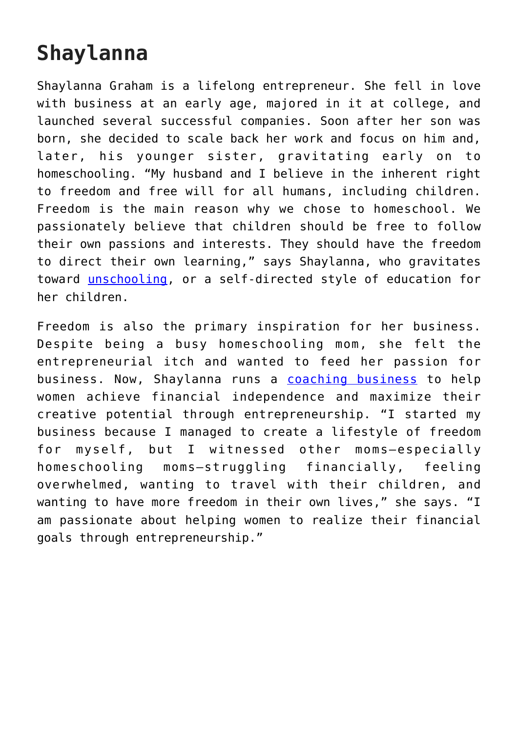## **Shaylanna**

Shaylanna Graham is a lifelong entrepreneur. She fell in love with business at an early age, majored in it at college, and launched several successful companies. Soon after her son was born, she decided to scale back her work and focus on him and, later, his younger sister, gravitating early on to homeschooling. "My husband and I believe in the inherent right to freedom and free will for all humans, including children. Freedom is the main reason why we chose to homeschool. We passionately believe that children should be free to follow their own passions and interests. They should have the freedom to direct their own learning," says Shaylanna, who gravitates toward [unschooling](https://fee.org/articles/schooling-was-for-the-industrial-era-unschooling-is-for-the-future/), or a self-directed style of education for her children.

Freedom is also the primary inspiration for her business. Despite being a busy homeschooling mom, she felt the entrepreneurial itch and wanted to feed her passion for business. Now, Shaylanna runs a [coaching business](https://www.facebook.com/Shaylanna/) to help women achieve financial independence and maximize their creative potential through entrepreneurship. "I started my business because I managed to create a lifestyle of freedom for myself, but I witnessed other moms—especially homeschooling moms—struggling financially, feeling overwhelmed, wanting to travel with their children, and wanting to have more freedom in their own lives," she says. "I am passionate about helping women to realize their financial goals through entrepreneurship."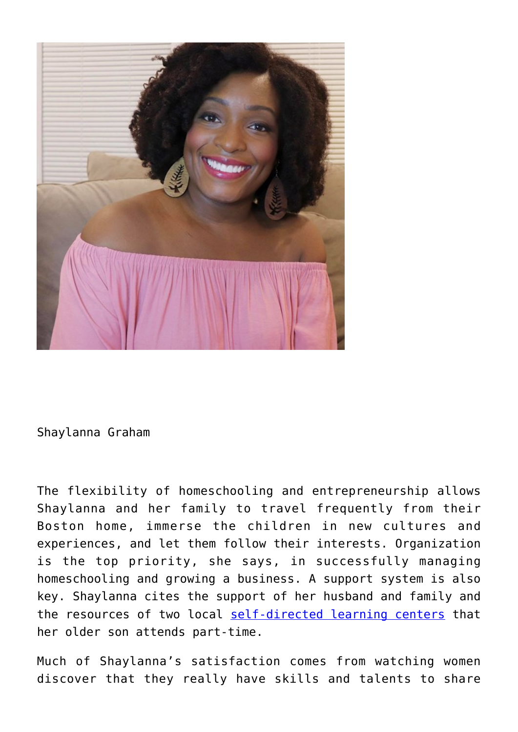

Shaylanna Graham

The flexibility of homeschooling and entrepreneurship allows Shaylanna and her family to travel frequently from their Boston home, immerse the children in new cultures and experiences, and let them follow their interests. Organization is the top priority, she says, in successfully managing homeschooling and growing a business. A support system is also key. Shaylanna cites the support of her husband and family and the resources of two local [self-directed learning centers](https://www.self-directed.org/resources/communities) that her older son attends part-time.

Much of Shaylanna's satisfaction comes from watching women discover that they really have skills and talents to share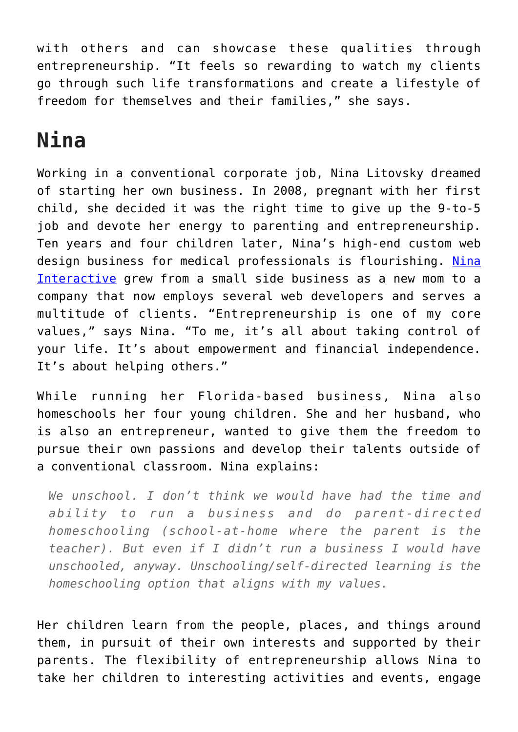with others and can showcase these qualities through entrepreneurship. "It feels so rewarding to watch my clients go through such life transformations and create a lifestyle of freedom for themselves and their families," she says.

## **Nina**

Working in a conventional corporate job, Nina Litovsky dreamed of starting her own business. In 2008, pregnant with her first child, she decided it was the right time to give up the 9-to-5 job and devote her energy to parenting and entrepreneurship. Ten years and four children later, Nina's high-end custom web design business for medical professionals is flourishing. [Nina](https://ninainteractive.com/) [Interactive](https://ninainteractive.com/) grew from a small side business as a new mom to a company that now employs several web developers and serves a multitude of clients. "Entrepreneurship is one of my core values," says Nina. "To me, it's all about taking control of your life. It's about empowerment and financial independence. It's about helping others."

While running her Florida-based business, Nina also homeschools her four young children. She and her husband, who is also an entrepreneur, wanted to give them the freedom to pursue their own passions and develop their talents outside of a conventional classroom. Nina explains:

*We unschool. I don't think we would have had the time and ability to run a business and do parent-directed homeschooling (school-at-home where the parent is the teacher). But even if I didn't run a business I would have unschooled, anyway. Unschooling/self-directed learning is the homeschooling option that aligns with my values.*

Her children learn from the people, places, and things around them, in pursuit of their own interests and supported by their parents. The flexibility of entrepreneurship allows Nina to take her children to interesting activities and events, engage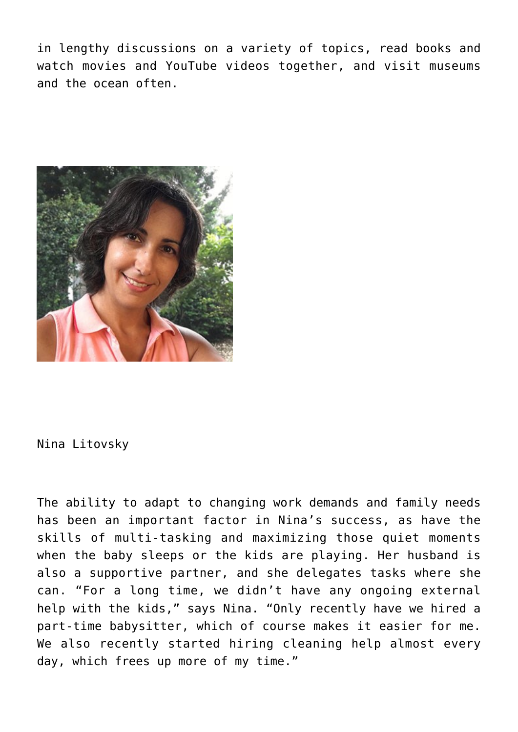in lengthy discussions on a variety of topics, read books and watch movies and YouTube videos together, and visit museums and the ocean often.



Nina Litovsky

The ability to adapt to changing work demands and family needs has been an important factor in Nina's success, as have the skills of multi-tasking and maximizing those quiet moments when the baby sleeps or the kids are playing. Her husband is also a supportive partner, and she delegates tasks where she can. "For a long time, we didn't have any ongoing external help with the kids," says Nina. "Only recently have we hired a part-time babysitter, which of course makes it easier for me. We also recently started hiring cleaning help almost every day, which frees up more of my time."